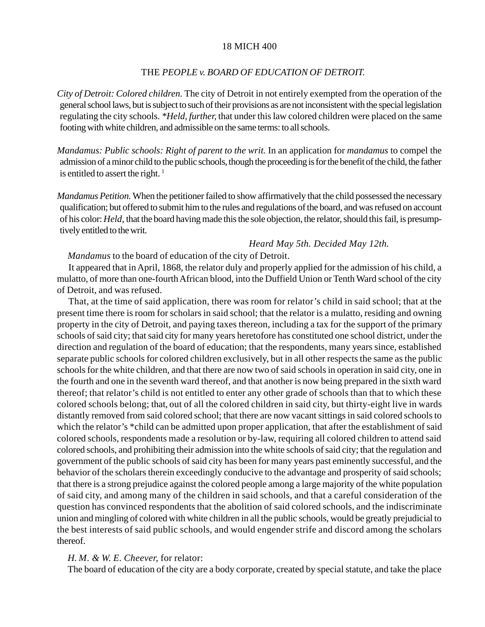#### 18 MICH 400

#### THE *PEOPLE v. BOARD OF EDUCATION OF DETROIT.*

*City of Detroit: Colored children.* The city of Detroit in not entirely exempted from the operation of the general school laws, but is subject to such of their provisions as are not inconsistent with the special legislation regulating the city schools. *\*Held, further,* that under this law colored children were placed on the same footing with white children, and admissible on the same terms: to all schools.

*Mandamus: Public schools: Right of parent to the writ.* In an application for *mandamus* to compel the admission of a minor child to the public schools, though the proceeding is for the benefit of the child, the father is entitled to assert the right.  $1$ 

*Mandamus Petition.* When the petitioner failed to show affirmatively that the child possessed the necessary qualification; but offered to submit him to the rules and regulations of the board, and was refused on account of his color: *Held*, that the board having made this the sole objection, the relator, should this fail, is presumptively entitled to the writ.

# *Heard May 5th. Decided May 12th.*

*Mandamus* to the board of education of the city of Detroit.

It appeared that in April, 1868, the relator duly and properly applied for the admission of his child, a mulatto, of more than one-fourth African blood, into the Duffield Union or Tenth Ward school of the city of Detroit, and was refused.

That, at the time of said application, there was room for relator's child in said school; that at the present time there is room for scholars in said school; that the relator is a mulatto, residing and owning property in the city of Detroit, and paying taxes thereon, including a tax for the support of the primary schools of said city; that said city for many years heretofore has constituted one school district, under the direction and regulation of the board of education; that the respondents, many years since, established separate public schools for colored children exclusively, but in all other respects the same as the public schools for the white children, and that there are now two of said schools in operation in said city, one in the fourth and one in the seventh ward thereof, and that another is now being prepared in the sixth ward thereof; that relator's child is not entitled to enter any other grade of schools than that to which these colored schools belong; that, out of all the colored children in said city, but thirty-eight live in wards distantly removed from said colored school; that there are now vacant sittings in said colored schools to which the relator's \*child can be admitted upon proper application, that after the establishment of said colored schools, respondents made a resolution or by-law, requiring all colored children to attend said colored schools, and prohibiting their admission into the white schools of said city; that the regulation and government of the public schools of said city has been for many years past eminently successful, and the behavior of the scholars therein exceedingly conducive to the advantage and prosperity of said schools; that there is a strong prejudice against the colored people among a large majority of the white population of said city, and among many of the children in said schools, and that a careful consideration of the question has convinced respondents that the abolition of said colored schools, and the indiscriminate union and mingling of colored with white children in all the public schools, would be greatly prejudicial to the best interests of said public schools, and would engender strife and discord among the scholars thereof.

## *H. M. & W. E. Cheever,* for relator:

The board of education of the city are a body corporate, created by special statute, and take the place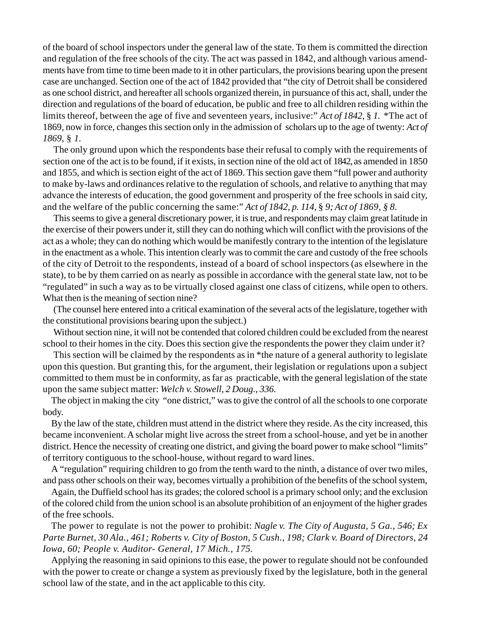of the board of school inspectors under the general law of the state. To them is committed the direction and regulation of the free schools of the city. The act was passed in 1842, and although various amendments have from time to time been made to it in other particulars, the provisions bearing upon the present case are unchanged. Section one of the act of 1842 provided that "the city of Detroit shall be considered as one school district, and hereafter all schools organized therein, in pursuance of this act, shall, under the direction and regulations of the board of education, be public and free to all children residing within the limits thereof, between the age of five and seventeen years, inclusive:" *Act of 1842,* § *1.* \*The act of 1869, now in force, changes this section only in the admission of scholars up to the age of twenty: *Act of 1869,* § *1.*

The only ground upon which the respondents base their refusal to comply with the requirements of section one of the act is to be found, if it exists, in section nine of the old act of 1842, as amended in 1850 and 1855, and which is section eight of the act of 1869. This section gave them "full power and authority to make by-laws and ordinances relative to the regulation of schools, and relative to anything that may advance the interests of education, the good government and prosperity of the free schools in said city, and the welfare of the public concerning the same:" *Act of 1842, p. 114,* § *9; Act of 1869, § 8.*

This seems to give a general discretionary power, it is true, and respondents may claim great latitude in the exercise of their powers under it, still they can do nothing which will conflict with the provisions of the act as a whole; they can do nothing which would be manifestly contrary to the intention of the legislature in the enactment as a whole. This intention clearly was to commit the care and custody of the free schools of the city of Detroit to the respondents, instead of a board of school inspectors (as elsewhere in the state), to be by them carried on as nearly as possible in accordance with the general state law, not to be "regulated" in such a way as to be virtually closed against one class of citizens, while open to others. What then is the meaning of section nine?

(The counsel here entered into a critical examination of the several acts of the legislature, together with the constitutional provisions bearing upon the subject.)

Without section nine, it will not be contended that colored children could be excluded from the nearest school to their homes in the city. Does this section give the respondents the power they claim under it?

This section will be claimed by the respondents as in \*the nature of a general authority to legislate upon this question. But granting this, for the argument, their legislation or regulations upon a subject committed to them must be in conformity, as far as practicable, with the general legislation of the state upon the same subject matter: *Welch v. Stowell, 2 Doug., 336.*

The object in making the city "one district," was to give the control of all the schools to one corporate body.

By the law of the state, children must attend in the district where they reside. As the city increased, this became inconvenient. A scholar might live across the street from a school-house, and yet be in another district. Hence the necessity of creating one district, and giving the board power to make school "limits" of territory contiguous to the school-house, without regard to ward lines.

A "regulation" requiring children to go from the tenth ward to the ninth, a distance of over two miles, and pass other schools on their way, becomes virtually a prohibition of the benefits of the school system,

Again, the Duffield school has its grades; the colored school is a primary school only; and the exclusion of the colored child from the union school is an absolute prohibition of an enjoyment of the higher grades of the free schools.

The power to regulate is not the power to prohibit: *Nagle v. The City of Augusta, 5 Ga., 546; Ex Parte Burnet, 30 Ala., 461; Roberts v. City of Boston, 5 Cush., 198; Clark v. Board of Directors, 24 Iowa, 60; People v. Auditor- General, 17 Mich., 175.*

Applying the reasoning in said opinions to this ease, the power to regulate should not be confounded with the power to create or change a system as previously fixed by the legislature, both in the general school law of the state, and in the act applicable to this city.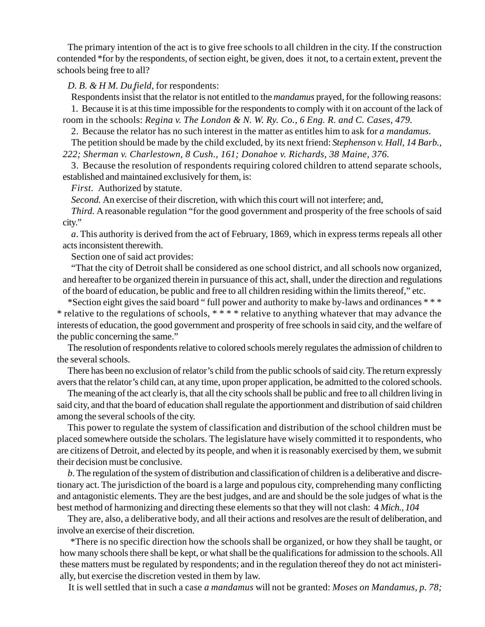The primary intention of the act is to give free schools to all children in the city. If the construction contended \*for by the respondents, of section eight, be given, does it not, to a certain extent, prevent the schools being free to all?

# *D. B. & H M. Duf field,* for respondents:

Respondents insist that the relator is not entitled to the *mandamus* prayed, for the following reasons: 1. Because it is at this time impossible for the respondents to comply with it on account of the lack of

room in the schools: *Regina v. The London & N. W. Ry. Co., 6 Eng. R. and C. Cases, 479.*

2. Because the relator has no such interest in the matter as entitles him to ask for *a mandamus.*

The petition should be made by the child excluded, by its next friend: *Stephenson v. Hall, 14 Barb., 222; Sherman v. Charlestown, 8 Cush., 161; Donahoe v. Richards, 38 Maine, 376.*

3. Because the resolution of respondents requiring colored children to attend separate schools, established and maintained exclusively for them, is:

*First.* Authorized by statute.

*Second.* An exercise of their discretion, with which this court will not interfere; and,

*Third.* A reasonable regulation "for the good government and prosperity of the free schools of said city."

*a*. This authority is derived from the act of February, 1869, which in express terms repeals all other acts inconsistent therewith.

Section one of said act provides:

"That the city of Detroit shall be considered as one school district, and all schools now organized, and hereafter to be organized therein in pursuance of this act, shall, under the direction and regulations of the board of education, be public and free to all children residing within the limits thereof," etc.

\*Section eight gives the said board " full power and authority to make by-laws and ordinances \* \* \* \* relative to the regulations of schools, \* \* \* \* relative to anything whatever that may advance the interests of education, the good government and prosperity of free schools in said city, and the welfare of the public concerning the same."

The resolution of respondents relative to colored schools merely regulates the admission of children to the several schools.

There has been no exclusion of relator's child from the public schools of said city. The return expressly avers that the relator's child can, at any time, upon proper application, be admitted to the colored schools.

The meaning of the act clearly is, that all the city schools shall be public and free to all children living in said city, and that the board of education shall regulate the apportionment and distribution of said children among the several schools of the city.

This power to regulate the system of classification and distribution of the school children must be placed somewhere outside the scholars. The legislature have wisely committed it to respondents, who are citizens of Detroit, and elected by its people, and when it is reasonably exercised by them, we submit their decision must be conclusive.

*b*. The regulation of the system of distribution and classification of children is a deliberative and discretionary act. The jurisdiction of the board is a large and populous city, comprehending many conflicting and antagonistic elements. They are the best judges, and are and should be the sole judges of what is the best method of harmonizing and directing these elements so that they will not clash: 4 *Mich., 104*

They are, also, a deliberative body, and all their actions and resolves are the result of deliberation, and involve an exercise of their discretion.

\*There is no specific direction how the schools shall be organized, or how they shall be taught, or how many schools there shall be kept, or what shall be the qualifications for admission to the schools. All these matters must be regulated by respondents; and in the regulation thereof they do not act ministerially, but exercise the discretion vested in them by law.

It is well settled that in such a case *a mandamus* will not be granted: *Moses on Mandamus, p. 78;*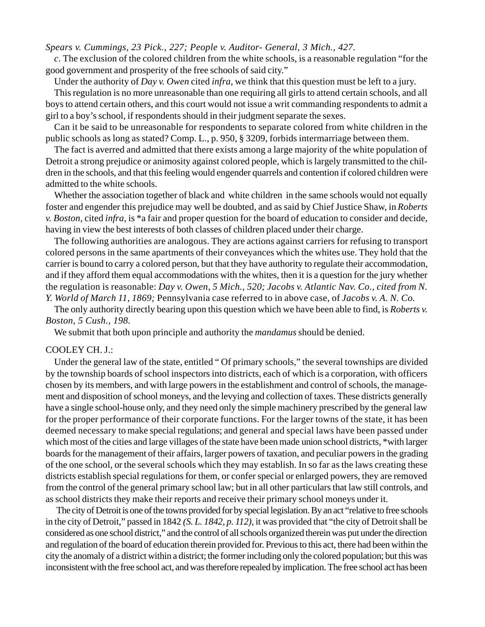*Spears v. Cummings, 23 Pick., 227; People v. Auditor- General, 3 Mich., 427.*

*c*. The exclusion of the colored children from the white schools, is a reasonable regulation "for the good government and prosperity of the free schools of said city."

Under the authority of *Day v. Owen* cited *infra,* we think that this question must be left to a jury.

This regulation is no more unreasonable than one requiring all girls to attend certain schools, and all boys to attend certain others, and this court would not issue a writ commanding respondents to admit a girl to a boy's school, if respondents should in their judgment separate the sexes.

Can it be said to be unreasonable for respondents to separate colored from white children in the public schools as long as stated? Comp. L., p. 950, § 3209, forbids intermarriage between them.

The fact is averred and admitted that there exists among a large majority of the white population of Detroit a strong prejudice or animosity against colored people, which is largely transmitted to the children in the schools, and that this feeling would engender quarrels and contention if colored children were admitted to the white schools.

Whether the association together of black and white children in the same schools would not equally foster and engender this prejudice may well be doubted, and as said by Chief Justice Shaw, in *Roberts v. Boston,* cited *infra,* is \*a fair and proper question for the board of education to consider and decide, having in view the best interests of both classes of children placed under their charge.

The following authorities are analogous. They are actions against carriers for refusing to transport colored persons in the same apartments of their conveyances which the whites use. They hold that the carrier is bound to carry a colored person, but that they have authority to regulate their accommodation, and if they afford them equal accommodations with the whites, then it is a question for the jury whether the regulation is reasonable: *Day v. Owen, 5 Mich., 520; Jacobs v. Atlantic Nav. Co., cited from N. Y. World of March 11, 1869;* Pennsylvania case referred to in above case, of *Jacobs v. A. N. Co.*

The only authority directly bearing upon this question which we have been able to find, is *Roberts v. Boston, 5 Cush., 198.*

We submit that both upon principle and authority the *mandamus* should be denied.

### COOLEY CH. J.:

Under the general law of the state, entitled " Of primary schools," the several townships are divided by the township boards of school inspectors into districts, each of which is a corporation, with officers chosen by its members, and with large powers in the establishment and control of schools, the management and disposition of school moneys, and the levying and collection of taxes. These districts generally have a single school-house only, and they need only the simple machinery prescribed by the general law for the proper performance of their corporate functions. For the larger towns of the state, it has been deemed necessary to make special regulations; and general and special laws have been passed under which most of the cities and large villages of the state have been made union school districts, \*with larger boards for the management of their affairs, larger powers of taxation, and peculiar powers in the grading of the one school, or the several schools which they may establish. In so far as the laws creating these districts establish special regulations for them, or confer special or enlarged powers, they are removed from the control of the general primary school law; but in all other particulars that law still controls, and as school districts they make their reports and receive their primary school moneys under it.

The city of Detroit is one of the towns provided for by special legislation. By an act "relative to free schools in the city of Detroit," passed in 1842 *(S. L. 1842, p. 112),* it was provided that "the city of Detroit shall be considered as one school district," and the control of all schools organized therein was put under the direction and regulation of the board of education therein provided for. Previous to this act, there had been within the city the anomaly of a district within a district; the former including only the colored population; but this was inconsistent with the free school act, and was therefore repealed by implication. The free school act has been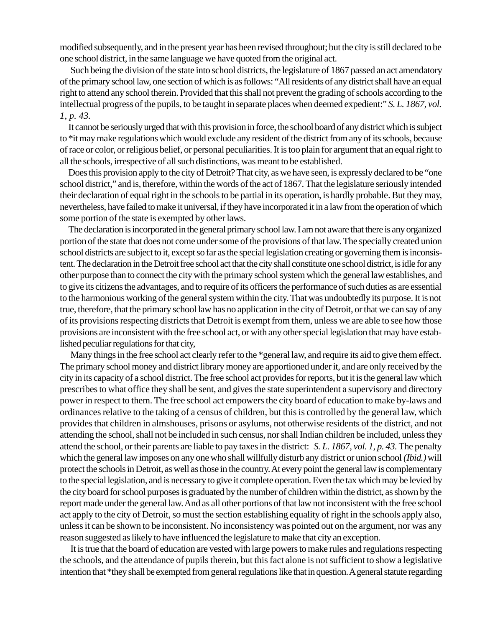modified subsequently, and in the present year has been revised throughout; but the city is still declared to be one school district, in the same language we have quoted from the original act.

Such being the division of the state into school districts, the legislature of 1867 passed an act amendatory of the primary school law, one section of which is as follows: "All residents of any district shall have an equal right to attend any school therein. Provided that this shall not prevent the grading of schools according to the intellectual progress of the pupils, to be taught in separate places when deemed expedient:" *S. L. 1867, vol. 1, p. 43.*

It cannot be seriously urged that with this provision in force, the school board of any district which is subject to \*it may make regulations which would exclude any resident of the district from any of its schools, because of race or color, or religious belief, or personal peculiarities. It is too plain for argument that an equal right to all the schools, irrespective of all such distinctions, was meant to be established.

Does this provision apply to the city of Detroit? That city, as we have seen, is expressly declared to be "one school district," and is, therefore, within the words of the act of 1867. That the legislature seriously intended their declaration of equal right in the schools to be partial in its operation, is hardly probable. But they may, nevertheless, have failed to make it universal, if they have incorporated it in a law from the operation of which some portion of the state is exempted by other laws.

The declaration is incorporated in the general primary school law. I am not aware that there is any organized portion of the state that does not come under some of the provisions of that law. The specially created union school districts are subject to it, except so far as the special legislation creating or governing them is inconsistent. The declaration in the Detroit free school act that the city shall constitute one school district, is idle for any other purpose than to connect the city with the primary school system which the general law establishes, and to give its citizens the advantages, and to require of its officers the performance of such duties as are essential to the harmonious working of the general system within the city. That was undoubtedly its purpose. It is not true, therefore, that the primary school law has no application in the city of Detroit, or that we can say of any of its provisions respecting districts that Detroit is exempt from them, unless we are able to see how those provisions are inconsistent with the free school act, or with any other special legislation that may have established peculiar regulations for that city,

Many things in the free school act clearly refer to the \*general law, and require its aid to give them effect. The primary school money and district library money are apportioned under it, and are only received by the city in its capacity of a school district. The free school act provides for reports, but it is the general law which prescribes to what office they shall be sent, and gives the state superintendent a supervisory and directory power in respect to them. The free school act empowers the city board of education to make by-laws and ordinances relative to the taking of a census of children, but this is controlled by the general law, which provides that children in almshouses, prisons or asylums, not otherwise residents of the district, and not attending the school, shall not be included in such census, nor shall Indian children be included, unless they attend the school, or their parents are liable to pay taxes in the district: *S. L. 1867, vol. 1, p. 43.* The penalty which the general law imposes on any one who shall willfully disturb any district or union school *(Ibid.)* will protect the schools in Detroit, as well as those in the country. At every point the general law is complementary to the special legislation, and is necessary to give it complete operation. Even the tax which may be levied by the city board for school purposes is graduated by the number of children within the district, as shown by the report made under the general law. And as all other portions of that law not inconsistent with the free school act apply to the city of Detroit, so must the section establishing equality of right in the schools apply also, unless it can be shown to be inconsistent. No inconsistency was pointed out on the argument, nor was any reason suggested as likely to have influenced the legislature to make that city an exception.

It is true that the board of education are vested with large powers to make rules and regulations respecting the schools, and the attendance of pupils therein, but this fact alone is not sufficient to show a legislative intention that \*they shall be exempted from general regulations like that in question. A general statute regarding